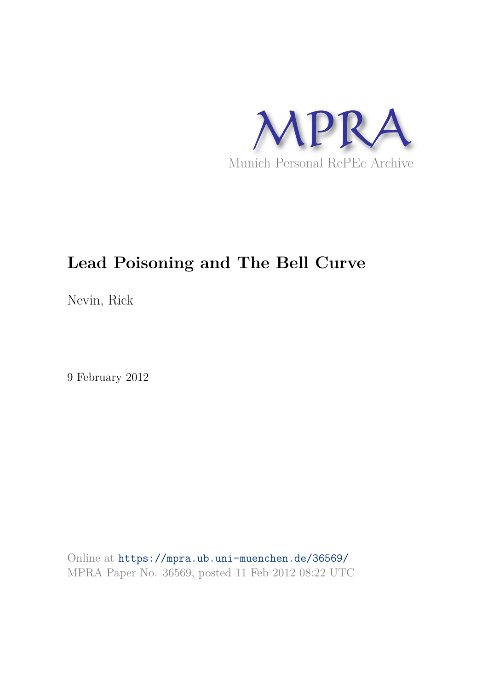

Nevin, Rick

9 February 2012

Online at https://mpra.ub.uni-muenchen.de/36569/ MPRA Paper No. 36569, posted 11 Feb 2012 08:22 UTC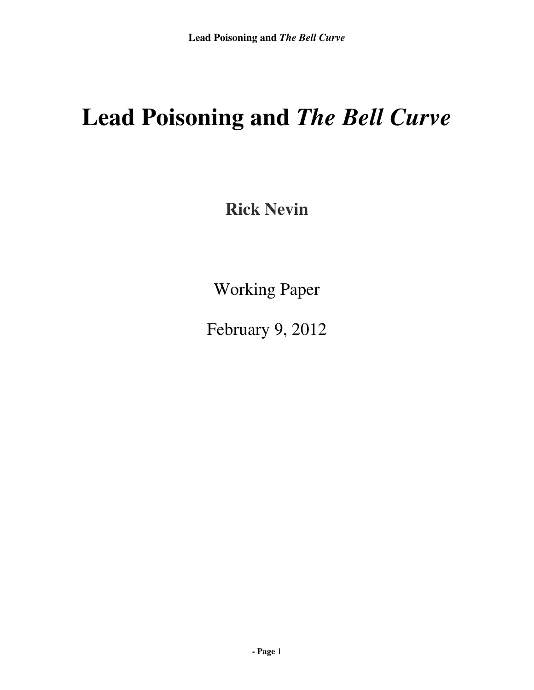**Rick Nevin** 

Working Paper

February 9, 2012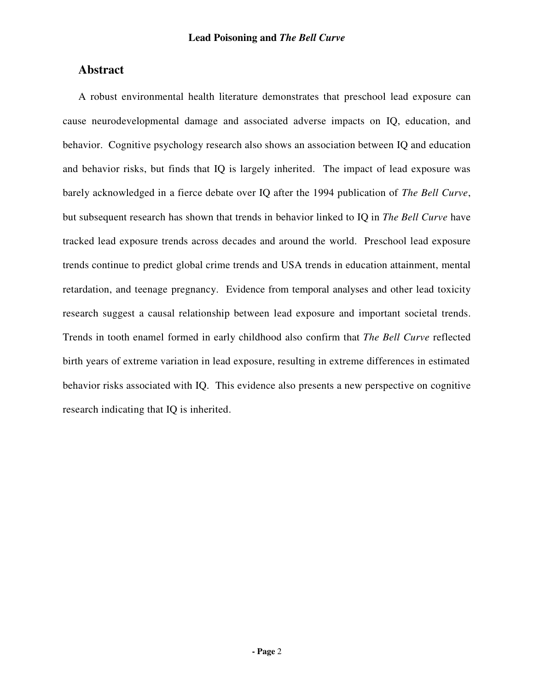# **Abstract**

A robust environmental health literature demonstrates that preschool lead exposure can cause neurodevelopmental damage and associated adverse impacts on IQ, education, and behavior. Cognitive psychology research also shows an association between IQ and education and behavior risks, but finds that IQ is largely inherited. The impact of lead exposure was barely acknowledged in a fierce debate over IQ after the 1994 publication of *The Bell Curve*, but subsequent research has shown that trends in behavior linked to IQ in *The Bell Curve* have tracked lead exposure trends across decades and around the world. Preschool lead exposure trends continue to predict global crime trends and USA trends in education attainment, mental retardation, and teenage pregnancy. Evidence from temporal analyses and other lead toxicity research suggest a causal relationship between lead exposure and important societal trends. Trends in tooth enamel formed in early childhood also confirm that *The Bell Curve* reflected birth years of extreme variation in lead exposure, resulting in extreme differences in estimated behavior risks associated with IQ. This evidence also presents a new perspective on cognitive research indicating that IQ is inherited.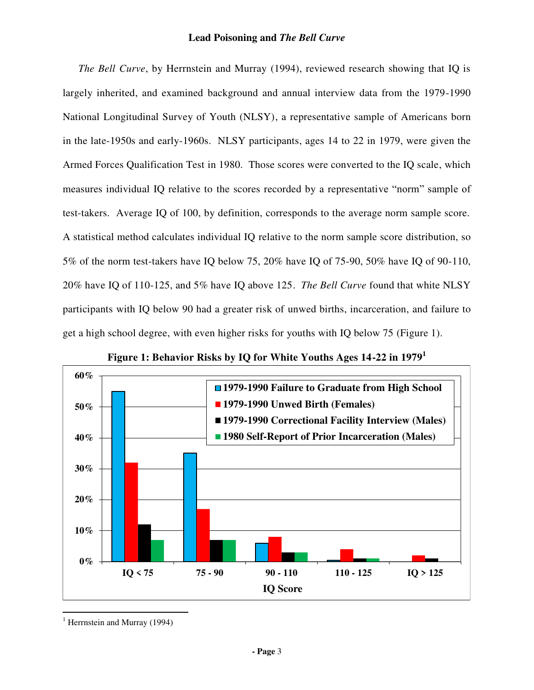*The Bell Curve*, by Herrnstein and Murray (1994), reviewed research showing that IQ is largely inherited, and examined background and annual interview data from the 1979-1990 National Longitudinal Survey of Youth (NLSY), a representative sample of Americans born in the late-1950s and early-1960s. NLSY participants, ages 14 to 22 in 1979, were given the Armed Forces Qualification Test in 1980. Those scores were converted to the IQ scale, which measures individual IQ relative to the scores recorded by a representative "norm" sample of test-takers. Average IQ of 100, by definition, corresponds to the average norm sample score. A statistical method calculates individual IQ relative to the norm sample score distribution, so 5% of the norm test-takers have IQ below 75, 20% have IQ of 75-90, 50% have IQ of 90-110, 20% have IQ of 110-125, and 5% have IQ above 125. *The Bell Curve* found that white NLSY participants with IQ below 90 had a greater risk of unwed births, incarceration, and failure to get a high school degree, with even higher risks for youths with IQ below 75 (Figure 1).





<sup>&</sup>lt;sup>1</sup> Herrnstein and Murray (1994)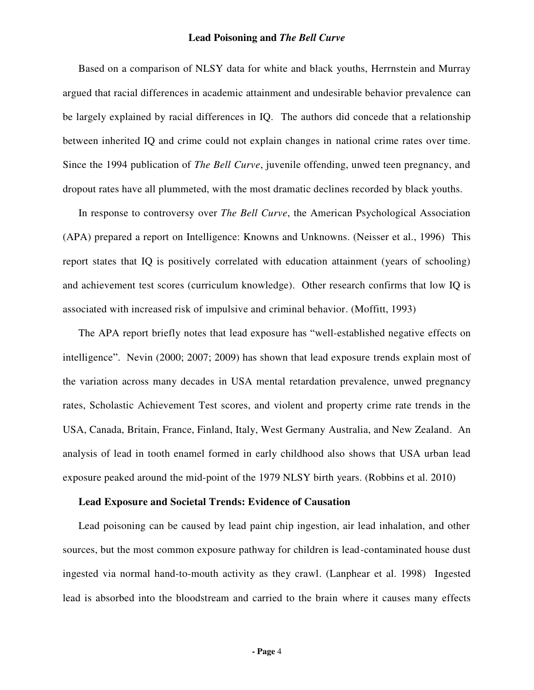Based on a comparison of NLSY data for white and black youths, Herrnstein and Murray argued that racial differences in academic attainment and undesirable behavior prevalence can be largely explained by racial differences in IQ. The authors did concede that a relationship between inherited IQ and crime could not explain changes in national crime rates over time. Since the 1994 publication of *The Bell Curve*, juvenile offending, unwed teen pregnancy, and dropout rates have all plummeted, with the most dramatic declines recorded by black youths.

In response to controversy over *The Bell Curve*, the American Psychological Association (APA) prepared a report on Intelligence: Knowns and Unknowns. (Neisser et al., 1996) This report states that IQ is positively correlated with education attainment (years of schooling) and achievement test scores (curriculum knowledge). Other research confirms that low IQ is associated with increased risk of impulsive and criminal behavior. (Moffitt, 1993)

The APA report briefly notes that lead exposure has "well-established negative effects on intelligence". Nevin (2000; 2007; 2009) has shown that lead exposure trends explain most of the variation across many decades in USA mental retardation prevalence, unwed pregnancy rates, Scholastic Achievement Test scores, and violent and property crime rate trends in the USA, Canada, Britain, France, Finland, Italy, West Germany Australia, and New Zealand. An analysis of lead in tooth enamel formed in early childhood also shows that USA urban lead exposure peaked around the mid-point of the 1979 NLSY birth years. (Robbins et al. 2010)

#### **Lead Exposure and Societal Trends: Evidence of Causation**

Lead poisoning can be caused by lead paint chip ingestion, air lead inhalation, and other sources, but the most common exposure pathway for children is lead-contaminated house dust ingested via normal hand-to-mouth activity as they crawl. (Lanphear et al. 1998) Ingested lead is absorbed into the bloodstream and carried to the brain where it causes many effects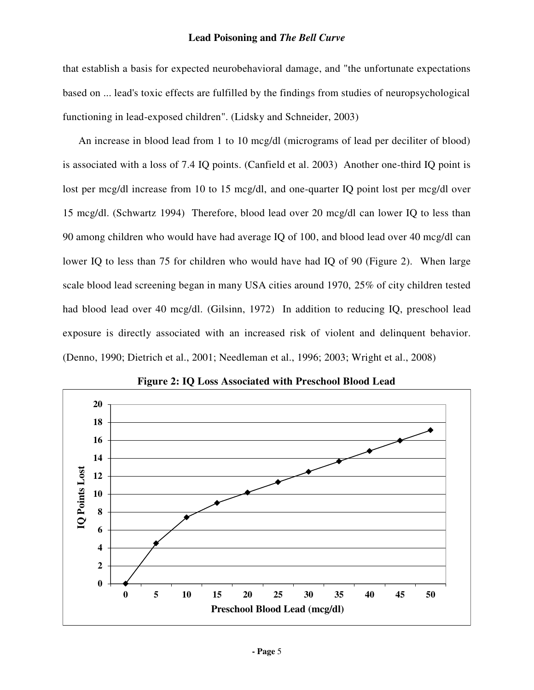that establish a basis for expected neurobehavioral damage, and "the unfortunate expectations based on ... lead's toxic effects are fulfilled by the findings from studies of neuropsychological functioning in lead-exposed children". (Lidsky and Schneider, 2003)

An increase in blood lead from 1 to 10 mcg/dl (micrograms of lead per deciliter of blood) is associated with a loss of 7.4 IQ points. (Canfield et al. 2003) Another one-third IQ point is lost per mcg/dl increase from 10 to 15 mcg/dl, and one-quarter IQ point lost per mcg/dl over 15 mcg/dl. (Schwartz 1994) Therefore, blood lead over 20 mcg/dl can lower IQ to less than 90 among children who would have had average IQ of 100, and blood lead over 40 mcg/dl can lower IQ to less than 75 for children who would have had IQ of 90 (Figure 2). When large scale blood lead screening began in many USA cities around 1970, 25% of city children tested had blood lead over 40 mcg/dl. (Gilsinn, 1972) In addition to reducing IQ, preschool lead exposure is directly associated with an increased risk of violent and delinquent behavior. (Denno, 1990; Dietrich et al., 2001; Needleman et al., 1996; 2003; Wright et al., 2008)



**Figure 2: IQ Loss Associated with Preschool Blood Lead**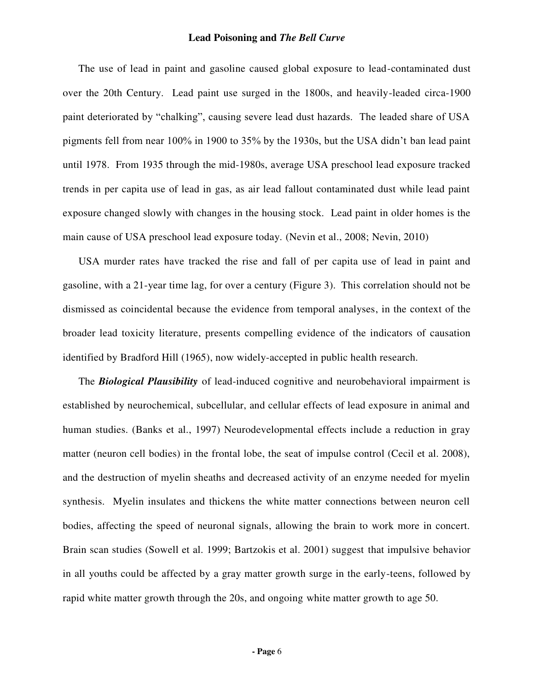The use of lead in paint and gasoline caused global exposure to lead-contaminated dust over the 20th Century. Lead paint use surged in the 1800s, and heavily-leaded circa-1900 paint deteriorated by "chalking", causing severe lead dust hazards. The leaded share of USA pigments fell from near 100% in 1900 to 35% by the 1930s, but the USA didn't ban lead paint until 1978. From 1935 through the mid-1980s, average USA preschool lead exposure tracked trends in per capita use of lead in gas, as air lead fallout contaminated dust while lead paint exposure changed slowly with changes in the housing stock. Lead paint in older homes is the main cause of USA preschool lead exposure today. (Nevin et al., 2008; Nevin, 2010)

USA murder rates have tracked the rise and fall of per capita use of lead in paint and gasoline, with a 21-year time lag, for over a century (Figure 3). This correlation should not be dismissed as coincidental because the evidence from temporal analyses, in the context of the broader lead toxicity literature, presents compelling evidence of the indicators of causation identified by Bradford Hill (1965), now widely-accepted in public health research.

The *Biological Plausibility* of lead-induced cognitive and neurobehavioral impairment is established by neurochemical, subcellular, and cellular effects of lead exposure in animal and human studies. (Banks et al., 1997) Neurodevelopmental effects include a reduction in gray matter (neuron cell bodies) in the frontal lobe, the seat of impulse control (Cecil et al. 2008), and the destruction of myelin sheaths and decreased activity of an enzyme needed for myelin synthesis. Myelin insulates and thickens the white matter connections between neuron cell bodies, affecting the speed of neuronal signals, allowing the brain to work more in concert. Brain scan studies (Sowell et al. 1999; Bartzokis et al. 2001) suggest that impulsive behavior in all youths could be affected by a gray matter growth surge in the early-teens, followed by rapid white matter growth through the 20s, and ongoing white matter growth to age 50.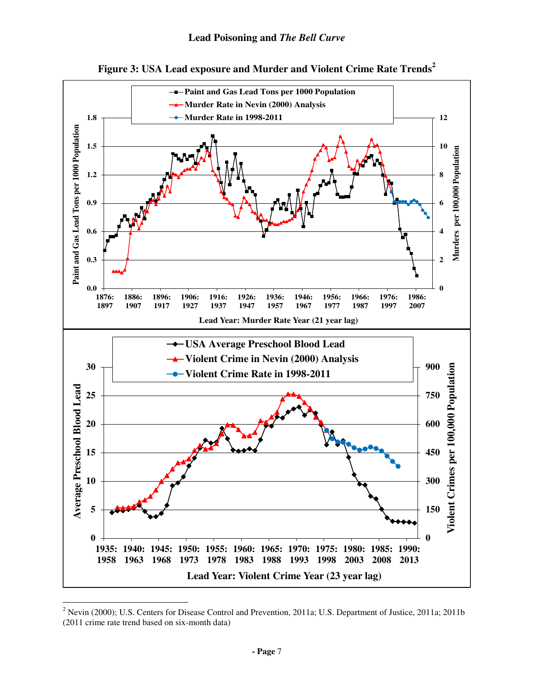



 $\overline{a}$ <sup>2</sup> Nevin (2000); U.S. Centers for Disease Control and Prevention, 2011a; U.S. Department of Justice, 2011a; 2011b (2011 crime rate trend based on six-month data)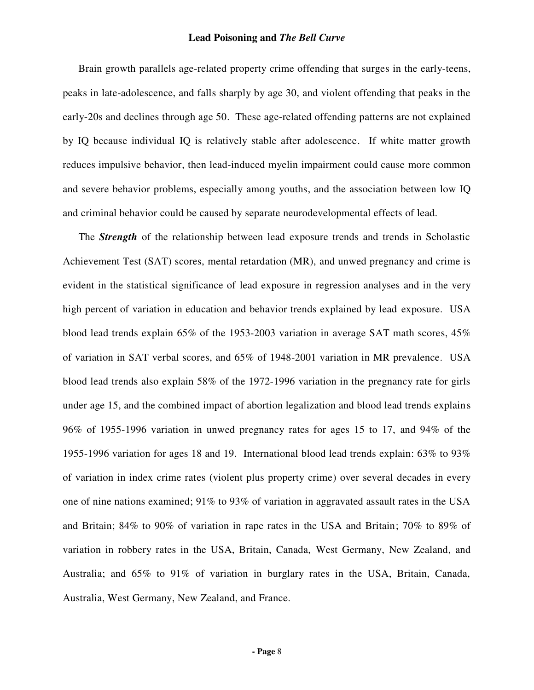Brain growth parallels age-related property crime offending that surges in the early-teens, peaks in late-adolescence, and falls sharply by age 30, and violent offending that peaks in the early-20s and declines through age 50. These age-related offending patterns are not explained by IQ because individual IQ is relatively stable after adolescence. If white matter growth reduces impulsive behavior, then lead-induced myelin impairment could cause more common and severe behavior problems, especially among youths, and the association between low IQ and criminal behavior could be caused by separate neurodevelopmental effects of lead.

The *Strength* of the relationship between lead exposure trends and trends in Scholastic Achievement Test (SAT) scores, mental retardation (MR), and unwed pregnancy and crime is evident in the statistical significance of lead exposure in regression analyses and in the very high percent of variation in education and behavior trends explained by lead exposure. USA blood lead trends explain 65% of the 1953-2003 variation in average SAT math scores, 45% of variation in SAT verbal scores, and 65% of 1948-2001 variation in MR prevalence. USA blood lead trends also explain 58% of the 1972-1996 variation in the pregnancy rate for girls under age 15, and the combined impact of abortion legalization and blood lead trends explains 96% of 1955-1996 variation in unwed pregnancy rates for ages 15 to 17, and 94% of the 1955-1996 variation for ages 18 and 19. International blood lead trends explain: 63% to 93% of variation in index crime rates (violent plus property crime) over several decades in every one of nine nations examined; 91% to 93% of variation in aggravated assault rates in the USA and Britain; 84% to 90% of variation in rape rates in the USA and Britain; 70% to 89% of variation in robbery rates in the USA, Britain, Canada, West Germany, New Zealand, and Australia; and 65% to 91% of variation in burglary rates in the USA, Britain, Canada, Australia, West Germany, New Zealand, and France.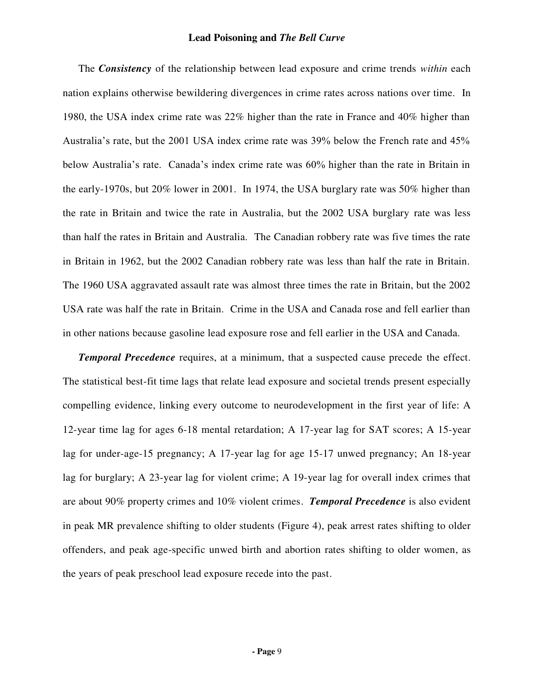The *Consistency* of the relationship between lead exposure and crime trends *within* each nation explains otherwise bewildering divergences in crime rates across nations over time. In 1980, the USA index crime rate was 22% higher than the rate in France and 40% higher than Australia's rate, but the 2001 USA index crime rate was 39% below the French rate and 45% below Australia's rate. Canada's index crime rate was 60% higher than the rate in Britain in the early-1970s, but 20% lower in 2001. In 1974, the USA burglary rate was 50% higher than the rate in Britain and twice the rate in Australia, but the 2002 USA burglary rate was less than half the rates in Britain and Australia. The Canadian robbery rate was five times the rate in Britain in 1962, but the 2002 Canadian robbery rate was less than half the rate in Britain. The 1960 USA aggravated assault rate was almost three times the rate in Britain, but the 2002 USA rate was half the rate in Britain. Crime in the USA and Canada rose and fell earlier than in other nations because gasoline lead exposure rose and fell earlier in the USA and Canada.

*Temporal Precedence* requires, at a minimum, that a suspected cause precede the effect. The statistical best-fit time lags that relate lead exposure and societal trends present especially compelling evidence, linking every outcome to neurodevelopment in the first year of life: A 12-year time lag for ages 6-18 mental retardation; A 17-year lag for SAT scores; A 15-year lag for under-age-15 pregnancy; A 17-year lag for age 15-17 unwed pregnancy; An 18-year lag for burglary; A 23-year lag for violent crime; A 19-year lag for overall index crimes that are about 90% property crimes and 10% violent crimes. *Temporal Precedence* is also evident in peak MR prevalence shifting to older students (Figure 4), peak arrest rates shifting to older offenders, and peak age-specific unwed birth and abortion rates shifting to older women, as the years of peak preschool lead exposure recede into the past.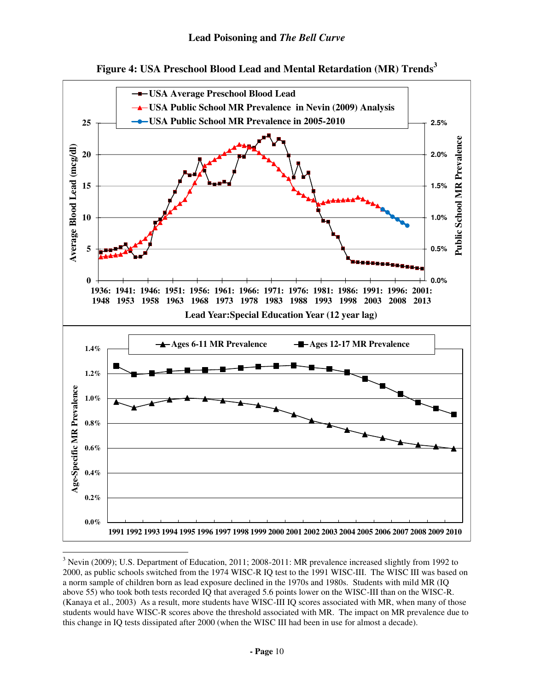



 $\overline{a}$ <sup>3</sup> Nevin (2009); U.S. Department of Education, 2011; 2008-2011: MR prevalence increased slightly from 1992 to 2000, as public schools switched from the 1974 WISC-R IQ test to the 1991 WISC-III. The WISC III was based on a norm sample of children born as lead exposure declined in the 1970s and 1980s. Students with mild MR (IQ above 55) who took both tests recorded IQ that averaged 5.6 points lower on the WISC-III than on the WISC-R. (Kanaya et al., 2003) As a result, more students have WISC-III IQ scores associated with MR, when many of those students would have WISC-R scores above the threshold associated with MR. The impact on MR prevalence due to this change in IQ tests dissipated after 2000 (when the WISC III had been in use for almost a decade).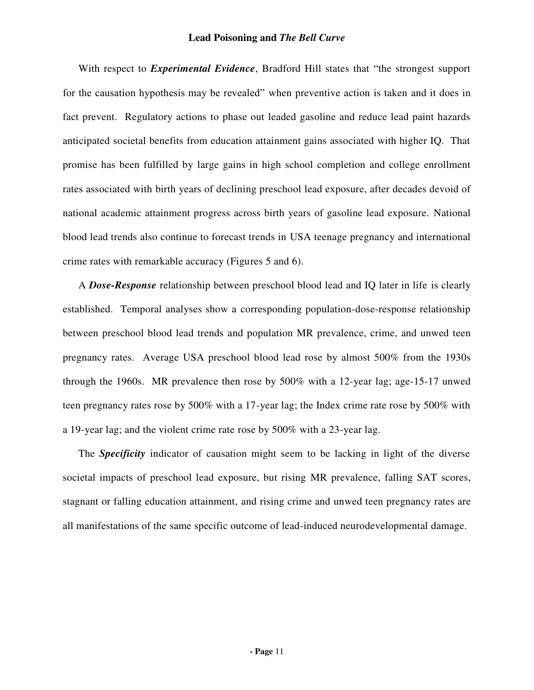With respect to *Experimental Evidence*, Bradford Hill states that "the strongest support for the causation hypothesis may be revealed" when preventive action is taken and it does in fact prevent. Regulatory actions to phase out leaded gasoline and reduce lead paint hazards anticipated societal benefits from education attainment gains associated with higher IQ. That promise has been fulfilled by large gains in high school completion and college enrollment rates associated with birth years of declining preschool lead exposure, after decades devoid of national academic attainment progress across birth years of gasoline lead exposure. National blood lead trends also continue to forecast trends in USA teenage pregnancy and international crime rates with remarkable accuracy (Figures 5 and 6).

A *Dose-Response* relationship between preschool blood lead and IQ later in life is clearly established. Temporal analyses show a corresponding population-dose-response relationship between preschool blood lead trends and population MR prevalence, crime, and unwed teen pregnancy rates. Average USA preschool blood lead rose by almost 500% from the 1930s through the 1960s. MR prevalence then rose by 500% with a 12-year lag; age-15-17 unwed teen pregnancy rates rose by 500% with a 17-year lag; the Index crime rate rose by 500% with a 19-year lag; and the violent crime rate rose by 500% with a 23-year lag.

The *Specificity* indicator of causation might seem to be lacking in light of the diverse societal impacts of preschool lead exposure, but rising MR prevalence, falling SAT scores, stagnant or falling education attainment, and rising crime and unwed teen pregnancy rates are all manifestations of the same specific outcome of lead-induced neurodevelopmental damage.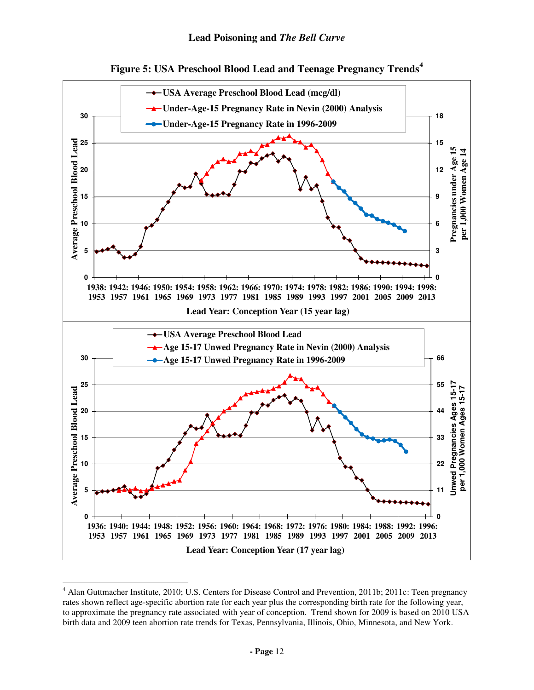



<sup>&</sup>lt;sup>4</sup> Alan Guttmacher Institute, 2010; U.S. Centers for Disease Control and Prevention, 2011b; 2011c: Teen pregnancy rates shown reflect age-specific abortion rate for each year plus the corresponding birth rate for the following year, to approximate the pregnancy rate associated with year of conception. Trend shown for 2009 is based on 2010 USA birth data and 2009 teen abortion rate trends for Texas, Pennsylvania, Illinois, Ohio, Minnesota, and New York.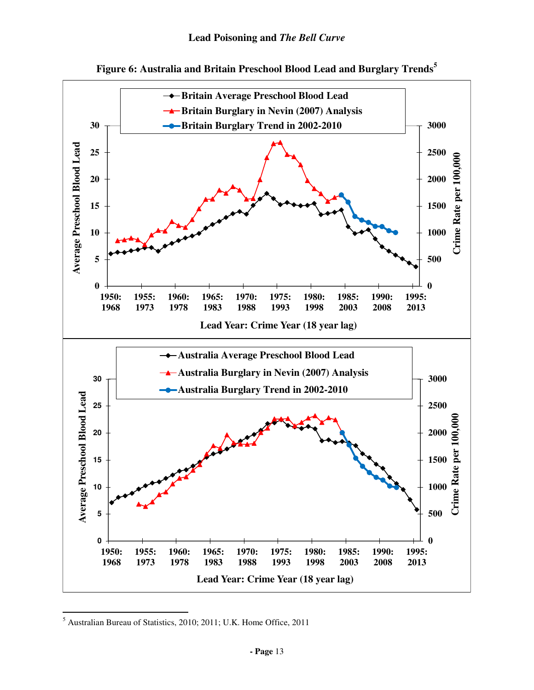



<sup>5</sup> Australian Bureau of Statistics, 2010; 2011; U.K. Home Office, 2011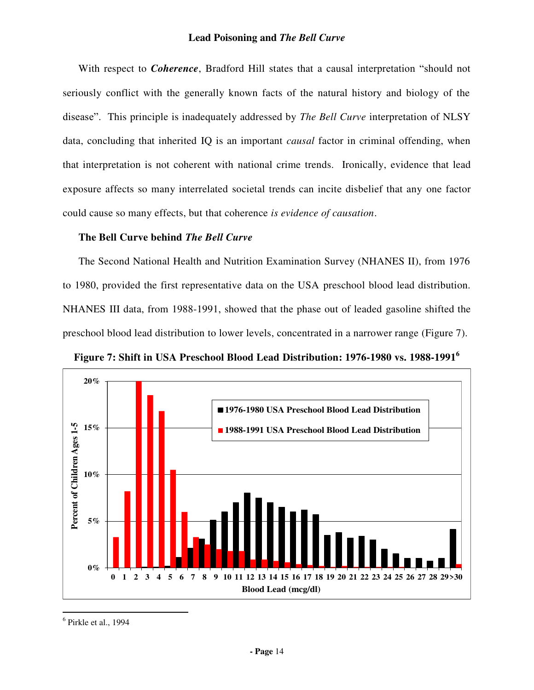With respect to *Coherence*, Bradford Hill states that a causal interpretation "should not seriously conflict with the generally known facts of the natural history and biology of the disease". This principle is inadequately addressed by *The Bell Curve* interpretation of NLSY data, concluding that inherited IQ is an important *causal* factor in criminal offending, when that interpretation is not coherent with national crime trends. Ironically, evidence that lead exposure affects so many interrelated societal trends can incite disbelief that any one factor could cause so many effects, but that coherence *is evidence of causation*.

# **The Bell Curve behind** *The Bell Curve*

The Second National Health and Nutrition Examination Survey (NHANES II), from 1976 to 1980, provided the first representative data on the USA preschool blood lead distribution. NHANES III data, from 1988-1991, showed that the phase out of leaded gasoline shifted the preschool blood lead distribution to lower levels, concentrated in a narrower range (Figure 7).





 $<sup>6</sup>$  Pirkle et al., 1994</sup>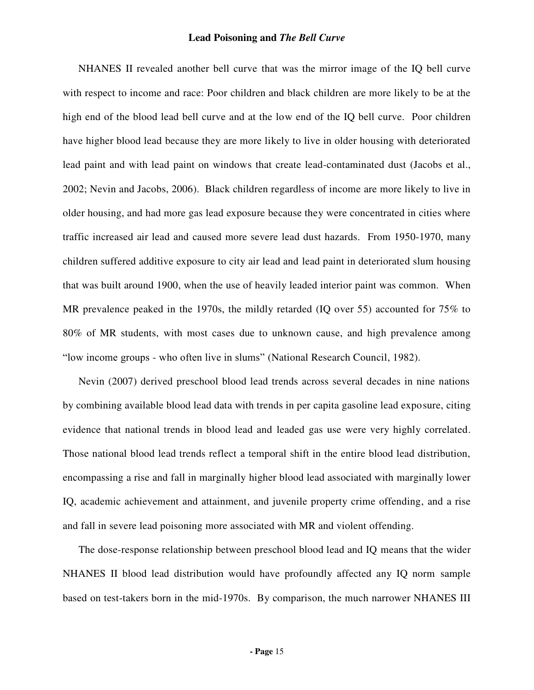NHANES II revealed another bell curve that was the mirror image of the IQ bell curve with respect to income and race: Poor children and black children are more likely to be at the high end of the blood lead bell curve and at the low end of the IQ bell curve. Poor children have higher blood lead because they are more likely to live in older housing with deteriorated lead paint and with lead paint on windows that create lead-contaminated dust (Jacobs et al., 2002; Nevin and Jacobs, 2006). Black children regardless of income are more likely to live in older housing, and had more gas lead exposure because they were concentrated in cities where traffic increased air lead and caused more severe lead dust hazards. From 1950-1970, many children suffered additive exposure to city air lead and lead paint in deteriorated slum housing that was built around 1900, when the use of heavily leaded interior paint was common. When MR prevalence peaked in the 1970s, the mildly retarded (IQ over 55) accounted for 75% to 80% of MR students, with most cases due to unknown cause, and high prevalence among "low income groups - who often live in slums" (National Research Council, 1982).

Nevin (2007) derived preschool blood lead trends across several decades in nine nations by combining available blood lead data with trends in per capita gasoline lead exposure, citing evidence that national trends in blood lead and leaded gas use were very highly correlated. Those national blood lead trends reflect a temporal shift in the entire blood lead distribution, encompassing a rise and fall in marginally higher blood lead associated with marginally lower IQ, academic achievement and attainment, and juvenile property crime offending, and a rise and fall in severe lead poisoning more associated with MR and violent offending.

The dose-response relationship between preschool blood lead and IQ means that the wider NHANES II blood lead distribution would have profoundly affected any IQ norm sample based on test-takers born in the mid-1970s. By comparison, the much narrower NHANES III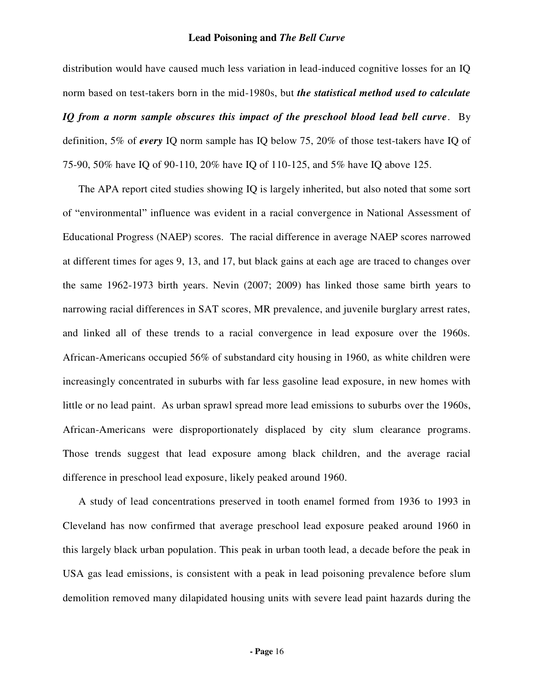distribution would have caused much less variation in lead-induced cognitive losses for an IQ norm based on test-takers born in the mid-1980s, but *the statistical method used to calculate IQ from a norm sample obscures this impact of the preschool blood lead bell curve*. By definition, 5% of *every* IQ norm sample has IQ below 75, 20% of those test-takers have IQ of 75-90, 50% have IQ of 90-110, 20% have IQ of 110-125, and 5% have IQ above 125.

The APA report cited studies showing IQ is largely inherited, but also noted that some sort of "environmental" influence was evident in a racial convergence in National Assessment of Educational Progress (NAEP) scores. The racial difference in average NAEP scores narrowed at different times for ages 9, 13, and 17, but black gains at each age are traced to changes over the same 1962-1973 birth years. Nevin (2007; 2009) has linked those same birth years to narrowing racial differences in SAT scores, MR prevalence, and juvenile burglary arrest rates, and linked all of these trends to a racial convergence in lead exposure over the 1960s. African-Americans occupied 56% of substandard city housing in 1960, as white children were increasingly concentrated in suburbs with far less gasoline lead exposure, in new homes with little or no lead paint. As urban sprawl spread more lead emissions to suburbs over the 1960s, African-Americans were disproportionately displaced by city slum clearance programs. Those trends suggest that lead exposure among black children, and the average racial difference in preschool lead exposure, likely peaked around 1960.

A study of lead concentrations preserved in tooth enamel formed from 1936 to 1993 in Cleveland has now confirmed that average preschool lead exposure peaked around 1960 in this largely black urban population. This peak in urban tooth lead, a decade before the peak in USA gas lead emissions, is consistent with a peak in lead poisoning prevalence before slum demolition removed many dilapidated housing units with severe lead paint hazards during the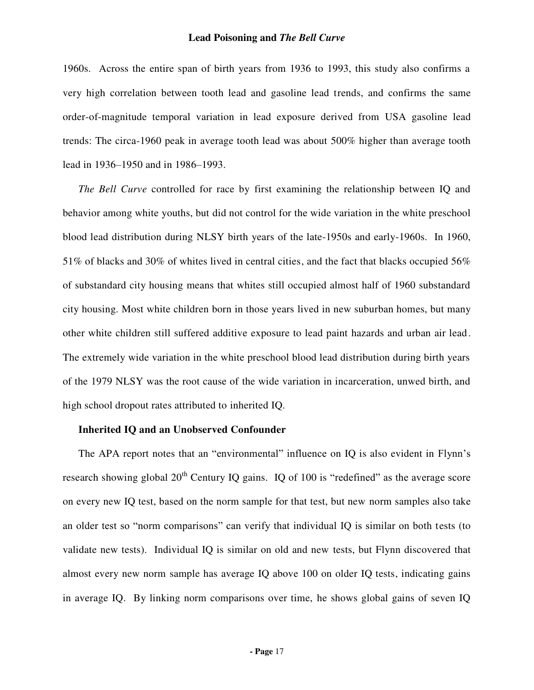1960s. Across the entire span of birth years from 1936 to 1993, this study also confirms a very high correlation between tooth lead and gasoline lead trends, and confirms the same order-of-magnitude temporal variation in lead exposure derived from USA gasoline lead trends: The circa-1960 peak in average tooth lead was about 500% higher than average tooth lead in 1936–1950 and in 1986–1993.

*The Bell Curve* controlled for race by first examining the relationship between IQ and behavior among white youths, but did not control for the wide variation in the white preschool blood lead distribution during NLSY birth years of the late-1950s and early-1960s. In 1960, 51% of blacks and 30% of whites lived in central cities, and the fact that blacks occupied 56% of substandard city housing means that whites still occupied almost half of 1960 substandard city housing. Most white children born in those years lived in new suburban homes, but many other white children still suffered additive exposure to lead paint hazards and urban air lead. The extremely wide variation in the white preschool blood lead distribution during birth years of the 1979 NLSY was the root cause of the wide variation in incarceration, unwed birth, and high school dropout rates attributed to inherited IQ.

#### **Inherited IQ and an Unobserved Confounder**

The APA report notes that an "environmental" influence on IQ is also evident in Flynn's research showing global  $20<sup>th</sup>$  Century IQ gains. IQ of 100 is "redefined" as the average score on every new IQ test, based on the norm sample for that test, but new norm samples also take an older test so "norm comparisons" can verify that individual IQ is similar on both tests (to validate new tests). Individual IQ is similar on old and new tests, but Flynn discovered that almost every new norm sample has average IQ above 100 on older IQ tests, indicating gains in average IQ. By linking norm comparisons over time, he shows global gains of seven IQ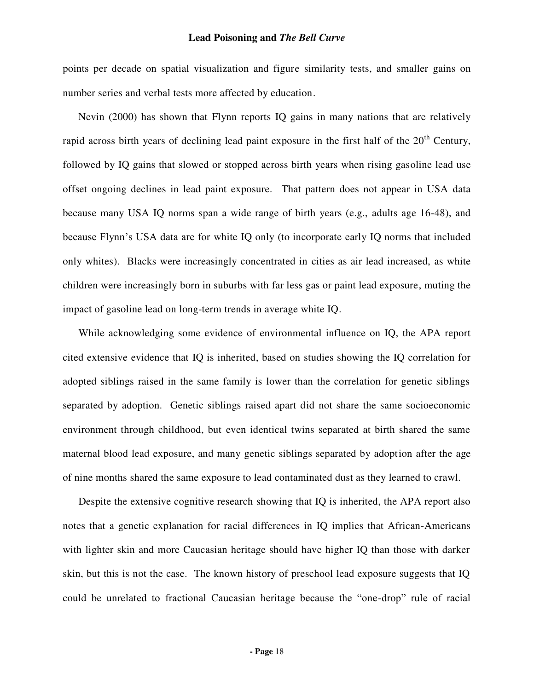points per decade on spatial visualization and figure similarity tests, and smaller gains on number series and verbal tests more affected by education.

Nevin (2000) has shown that Flynn reports IQ gains in many nations that are relatively rapid across birth years of declining lead paint exposure in the first half of the  $20<sup>th</sup>$  Century, followed by IQ gains that slowed or stopped across birth years when rising gasoline lead use offset ongoing declines in lead paint exposure. That pattern does not appear in USA data because many USA IQ norms span a wide range of birth years (e.g., adults age 16-48), and because Flynn's USA data are for white IQ only (to incorporate early IQ norms that included only whites). Blacks were increasingly concentrated in cities as air lead increased, as white children were increasingly born in suburbs with far less gas or paint lead exposure, muting the impact of gasoline lead on long-term trends in average white IQ.

While acknowledging some evidence of environmental influence on IQ, the APA report cited extensive evidence that IQ is inherited, based on studies showing the IQ correlation for adopted siblings raised in the same family is lower than the correlation for genetic siblings separated by adoption. Genetic siblings raised apart did not share the same socioeconomic environment through childhood, but even identical twins separated at birth shared the same maternal blood lead exposure, and many genetic siblings separated by adoption after the age of nine months shared the same exposure to lead contaminated dust as they learned to crawl.

Despite the extensive cognitive research showing that IQ is inherited, the APA report also notes that a genetic explanation for racial differences in IQ implies that African-Americans with lighter skin and more Caucasian heritage should have higher IQ than those with darker skin, but this is not the case. The known history of preschool lead exposure suggests that IQ could be unrelated to fractional Caucasian heritage because the "one-drop" rule of racial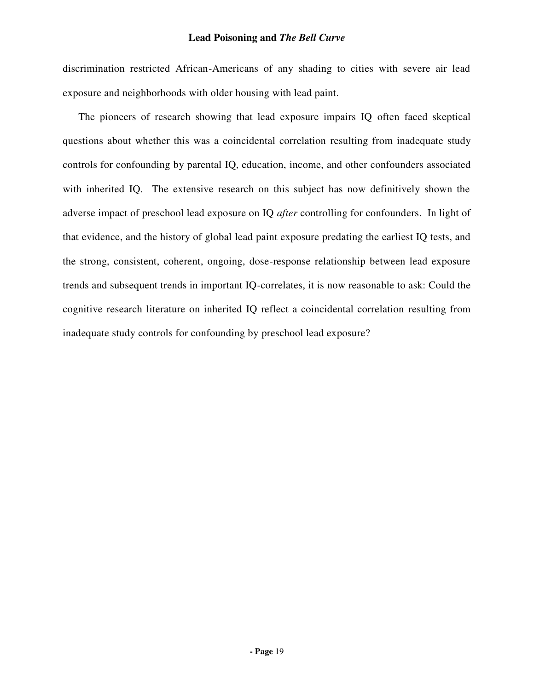discrimination restricted African-Americans of any shading to cities with severe air lead exposure and neighborhoods with older housing with lead paint.

The pioneers of research showing that lead exposure impairs IQ often faced skeptical questions about whether this was a coincidental correlation resulting from inadequate study controls for confounding by parental IQ, education, income, and other confounders associated with inherited IQ. The extensive research on this subject has now definitively shown the adverse impact of preschool lead exposure on IQ *after* controlling for confounders. In light of that evidence, and the history of global lead paint exposure predating the earliest IQ tests, and the strong, consistent, coherent, ongoing, dose-response relationship between lead exposure trends and subsequent trends in important IQ-correlates, it is now reasonable to ask: Could the cognitive research literature on inherited IQ reflect a coincidental correlation resulting from inadequate study controls for confounding by preschool lead exposure?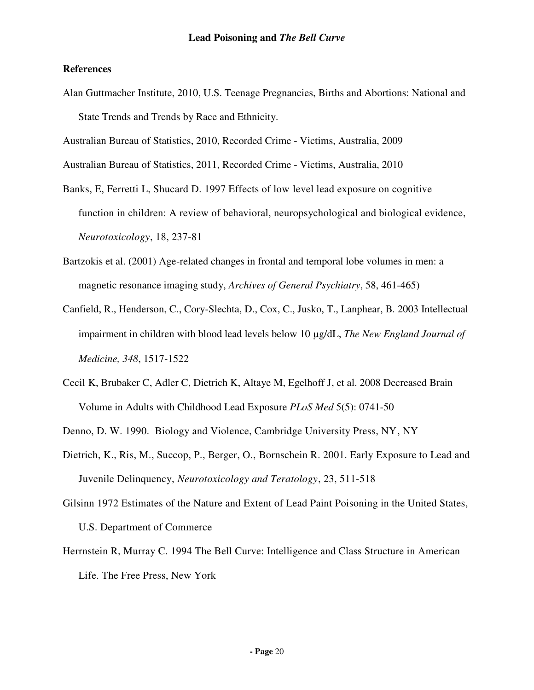# **References**

Alan Guttmacher Institute, 2010, U.S. Teenage Pregnancies, Births and Abortions: National and State Trends and Trends by Race and Ethnicity.

Australian Bureau of Statistics, 2010, Recorded Crime - Victims, Australia, 2009

Australian Bureau of Statistics, 2011, Recorded Crime - Victims, Australia, 2010

- Banks, E, Ferretti L, Shucard D. 1997 Effects of low level lead exposure on cognitive function in children: A review of behavioral, neuropsychological and biological evidence, *Neurotoxicology*, 18, 237-81
- Bartzokis et al. (2001) Age-related changes in frontal and temporal lobe volumes in men: a magnetic resonance imaging study, *Archives of General Psychiatry*, 58, 461-465)
- Canfield, R., Henderson, C., Cory-Slechta, D., Cox, C., Jusko, T., Lanphear, B. 2003 Intellectual impairment in children with blood lead levels below 10 µg/dL, *The New England Journal of Medicine, 348*, 1517-1522
- Cecil K, Brubaker C, Adler C, Dietrich K, Altaye M, Egelhoff J, et al. 2008 Decreased Brain Volume in Adults with Childhood Lead Exposure *PLoS Med* 5(5): 0741-50

Denno, D. W. 1990. Biology and Violence, Cambridge University Press, NY, NY

- Dietrich, K., Ris, M., Succop, P., Berger, O., Bornschein R. 2001. Early Exposure to Lead and Juvenile Delinquency, *Neurotoxicology and Teratology*, 23, 511-518
- Gilsinn 1972 Estimates of the Nature and Extent of Lead Paint Poisoning in the United States, U.S. Department of Commerce
- Herrnstein R, Murray C. 1994 The Bell Curve: Intelligence and Class Structure in American Life. The Free Press, New York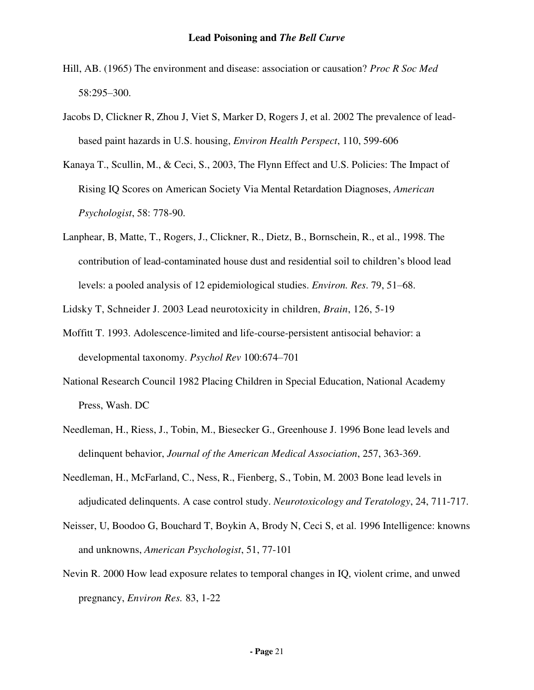- Hill, AB. (1965) The environment and disease: association or causation? *Proc R Soc Med* 58:295–300.
- Jacobs D, Clickner R, Zhou J, Viet S, Marker D, Rogers J, et al. 2002 The prevalence of leadbased paint hazards in U.S. housing, *Environ Health Perspect*, 110, 599-606
- Kanaya T., Scullin, M., & Ceci, S., 2003, The Flynn Effect and U.S. Policies: The Impact of Rising IQ Scores on American Society Via Mental Retardation Diagnoses, *American Psychologist*, 58: 778-90.
- Lanphear, B, Matte, T., Rogers, J., Clickner, R., Dietz, B., Bornschein, R., et al., 1998. The contribution of lead-contaminated house dust and residential soil to children's blood lead levels: a pooled analysis of 12 epidemiological studies. *Environ. Res*. 79, 51–68.

Lidsky T, Schneider J. 2003 Lead neurotoxicity in children, *Brain*, 126, 5-19

- Moffitt T. 1993. Adolescence-limited and life-course-persistent antisocial behavior: a developmental taxonomy. *Psychol Rev* 100:674–701
- National Research Council 1982 Placing Children in Special Education, National Academy Press, Wash. DC
- Needleman, H., Riess, J., Tobin, M., Biesecker G., Greenhouse J. 1996 Bone lead levels and delinquent behavior, *Journal of the American Medical Association*, 257, 363-369.
- Needleman, H., McFarland, C., Ness, R., Fienberg, S., Tobin, M. 2003 Bone lead levels in adjudicated delinquents. A case control study. *Neurotoxicology and Teratology*, 24, 711-717.
- Neisser, U, Boodoo G, Bouchard T, Boykin A, Brody N, Ceci S, et al. 1996 Intelligence: knowns and unknowns, *American Psychologist*, 51, 77-101
- Nevin R. 2000 How lead exposure relates to temporal changes in IQ, violent crime, and unwed pregnancy, *Environ Res.* 83, 1-22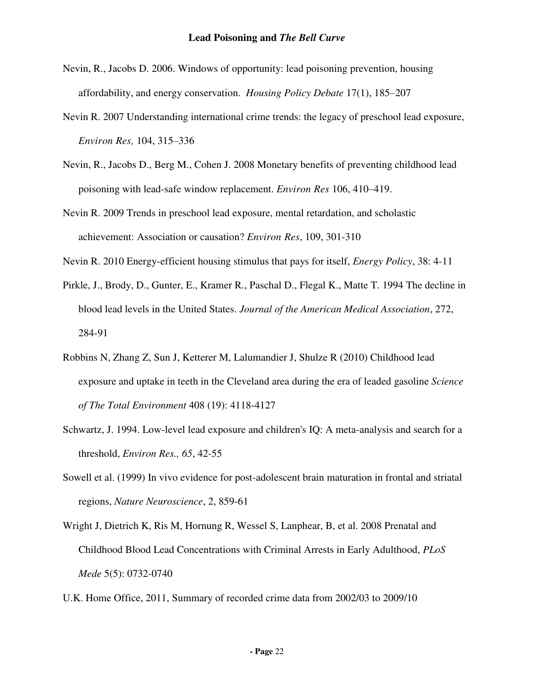- Nevin, R., Jacobs D. 2006. Windows of opportunity: lead poisoning prevention, housing affordability, and energy conservation. *Housing Policy Debate* 17(1), 185–207
- Nevin R. 2007 Understanding international crime trends: the legacy of preschool lead exposure, *Environ Res,* 104, 315–336
- Nevin, R., Jacobs D., Berg M., Cohen J. 2008 Monetary benefits of preventing childhood lead poisoning with lead-safe window replacement. *Environ Res* 106, 410–419.
- Nevin R. 2009 Trends in preschool lead exposure, mental retardation, and scholastic achievement: Association or causation? *Environ Res*, 109, 301-310
- Nevin R. 2010 Energy-efficient housing stimulus that pays for itself, *Energy Policy*, 38: 4-11
- Pirkle, J., Brody, D., Gunter, E., Kramer R., Paschal D., Flegal K., Matte T. 1994 The decline in blood lead levels in the United States. *Journal of the American Medical Association*, 272, 284-91
- Robbins N, Zhang Z, Sun J, Ketterer M, Lalumandier J, Shulze R (2010) Childhood lead exposure and uptake in teeth in the Cleveland area during the era of leaded gasoline *Science of The Total Environment* 408 (19): 4118-4127
- Schwartz, J. 1994. Low-level lead exposure and children's IQ: A meta-analysis and search for a threshold, *Environ Res., 65*, 42-55
- Sowell et al. (1999) In vivo evidence for post-adolescent brain maturation in frontal and striatal regions, *Nature Neuroscience*, 2, 859-61
- Wright J, Dietrich K, Ris M, Hornung R, Wessel S, Lanphear, B, et al. 2008 Prenatal and Childhood Blood Lead Concentrations with Criminal Arrests in Early Adulthood, *PLoS Mede* 5(5): 0732-0740
- U.K. Home Office, 2011, Summary of recorded crime data from 2002/03 to 2009/10